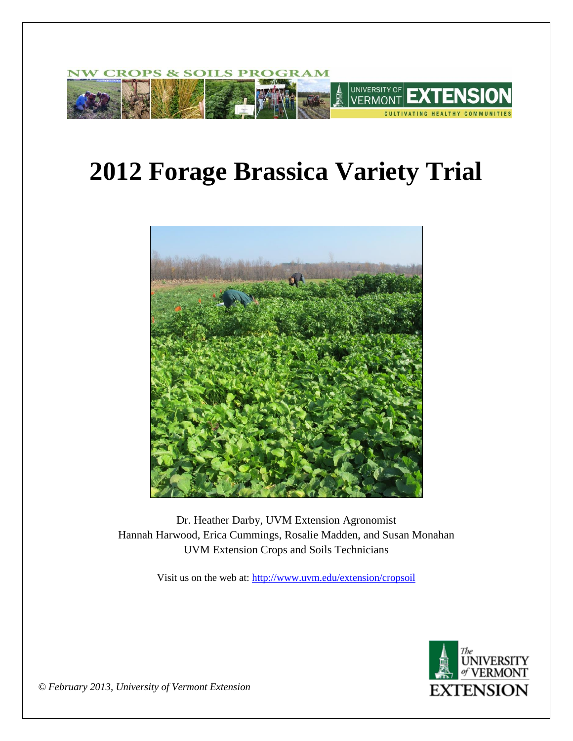

# **2012 Forage Brassica Variety Trial**



Dr. Heather Darby, UVM Extension Agronomist Hannah Harwood, Erica Cummings, Rosalie Madden, and Susan Monahan UVM Extension Crops and Soils Technicians

Visit us on the web at:<http://www.uvm.edu/extension/cropsoil>



*© February 2013, University of Vermont Extension*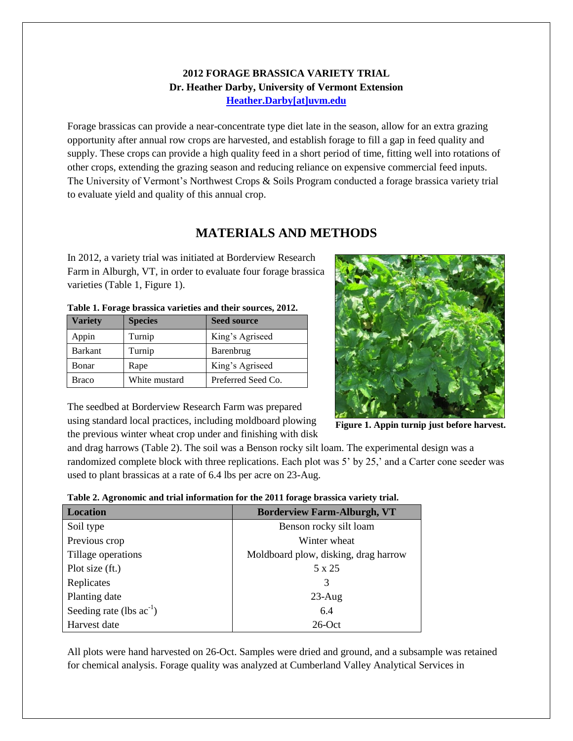### **2012 FORAGE BRASSICA VARIETY TRIAL Dr. Heather Darby, University of Vermont Extension [Heather.Darby\[at\]uvm.edu](mailto:heather.darby@uvm.edu?subject=2012%20Forage%20Brassica%20Report)**

Forage brassicas can provide a near-concentrate type diet late in the season, allow for an extra grazing opportunity after annual row crops are harvested, and establish forage to fill a gap in feed quality and supply. These crops can provide a high quality feed in a short period of time, fitting well into rotations of other crops, extending the grazing season and reducing reliance on expensive commercial feed inputs. The University of Vermont's Northwest Crops & Soils Program conducted a forage brassica variety trial to evaluate yield and quality of this annual crop.

## **MATERIALS AND METHODS**

In 2012, a variety trial was initiated at Borderview Research Farm in Alburgh, VT, in order to evaluate four forage brassica varieties (Table 1, Figure 1).

|  | Table 1. Forage brassica varieties and their sources, 2012. |  |  |
|--|-------------------------------------------------------------|--|--|
|  |                                                             |  |  |

| <b>Variety</b> | <b>Species</b> | <b>Seed source</b> |
|----------------|----------------|--------------------|
| Appin          | Turnip         | King's Agriseed    |
| <b>Barkant</b> | Turnip         | Barenbrug          |
| Bonar          | Rape           | King's Agriseed    |
| Braco          | White mustard  | Preferred Seed Co. |

The seedbed at Borderview Research Farm was prepared using standard local practices, including moldboard plowing the previous winter wheat crop under and finishing with disk



**Figure 1. Appin turnip just before harvest.**

and drag harrows (Table 2). The soil was a Benson rocky silt loam. The experimental design was a randomized complete block with three replications. Each plot was 5' by 25,' and a Carter cone seeder was used to plant brassicas at a rate of 6.4 lbs per acre on 23-Aug.

|  | Table 2. Agronomic and trial information for the 2011 forage brassica variety trial. |  |  |
|--|--------------------------------------------------------------------------------------|--|--|
|  |                                                                                      |  |  |

| <b>Location</b>               | <b>Borderview Farm-Alburgh, VT</b>   |
|-------------------------------|--------------------------------------|
| Soil type                     | Benson rocky silt loam               |
| Previous crop                 | Winter wheat                         |
| Tillage operations            | Moldboard plow, disking, drag harrow |
| Plot size (ft.)               | 5 x 25                               |
| Replicates                    | 3                                    |
| Planting date                 | $23$ -Aug                            |
| Seeding rate (lbs $ac^{-1}$ ) | 6.4                                  |
| Harvest date                  | $26$ -Oct                            |

All plots were hand harvested on 26-Oct. Samples were dried and ground, and a subsample was retained for chemical analysis. Forage quality was analyzed at Cumberland Valley Analytical Services in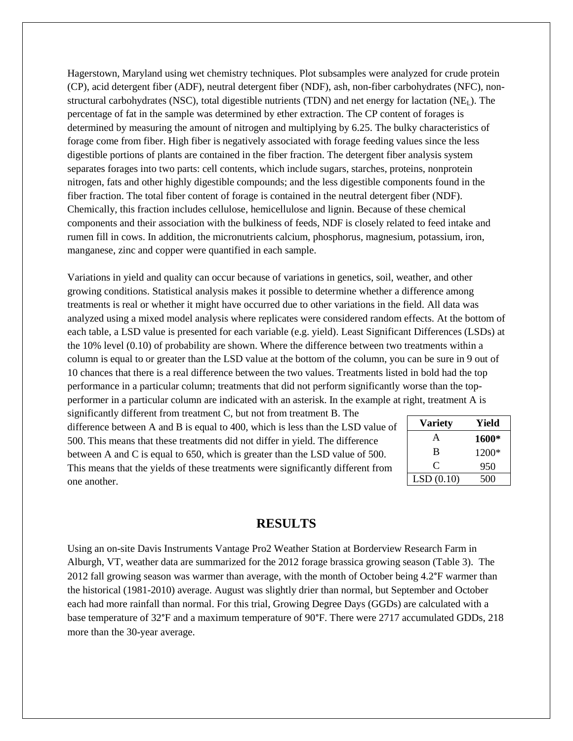Hagerstown, Maryland using wet chemistry techniques. Plot subsamples were analyzed for crude protein (CP), acid detergent fiber (ADF), neutral detergent fiber (NDF), ash, non-fiber carbohydrates (NFC), nonstructural carbohydrates (NSC), total digestible nutrients (TDN) and net energy for lactation ( $NE<sub>L</sub>$ ). The percentage of fat in the sample was determined by ether extraction. The CP content of forages is determined by measuring the amount of nitrogen and multiplying by 6.25. The bulky characteristics of forage come from fiber. High fiber is negatively associated with forage feeding values since the less digestible portions of plants are contained in the fiber fraction. The detergent fiber analysis system separates forages into two parts: cell contents, which include sugars, starches, proteins, nonprotein nitrogen, fats and other highly digestible compounds; and the less digestible components found in the fiber fraction. The total fiber content of forage is contained in the neutral detergent fiber (NDF). Chemically, this fraction includes cellulose, hemicellulose and lignin. Because of these chemical components and their association with the bulkiness of feeds, NDF is closely related to feed intake and rumen fill in cows. In addition, the micronutrients calcium, phosphorus, magnesium, potassium, iron, manganese, zinc and copper were quantified in each sample.

Variations in yield and quality can occur because of variations in genetics, soil, weather, and other growing conditions. Statistical analysis makes it possible to determine whether a difference among treatments is real or whether it might have occurred due to other variations in the field. All data was analyzed using a mixed model analysis where replicates were considered random effects. At the bottom of each table, a LSD value is presented for each variable (e.g. yield). Least Significant Differences (LSDs) at the 10% level (0.10) of probability are shown. Where the difference between two treatments within a column is equal to or greater than the LSD value at the bottom of the column, you can be sure in 9 out of 10 chances that there is a real difference between the two values. Treatments listed in bold had the top performance in a particular column; treatments that did not perform significantly worse than the topperformer in a particular column are indicated with an asterisk. In the example at right, treatment A is significantly different from treatment C, but not from treatment B. The

difference between A and B is equal to 400, which is less than the LSD value of 500. This means that these treatments did not differ in yield. The difference between A and C is equal to 650, which is greater than the LSD value of 500. This means that the yields of these treatments were significantly different from one another.

| <b>Variety</b> | Yield |
|----------------|-------|
| A              | 1600* |
| B              | 1200* |
| €              | 950   |
| LSD(0.10)      | 500   |

#### **RESULTS**

Using an on-site Davis Instruments Vantage Pro2 Weather Station at Borderview Research Farm in Alburgh, VT, weather data are summarized for the 2012 forage brassica growing season (Table 3). The 2012 fall growing season was warmer than average, with the month of October being 4.2°F warmer than the historical (1981-2010) average. August was slightly drier than normal, but September and October each had more rainfall than normal. For this trial, Growing Degree Days (GGDs) are calculated with a base temperature of 32°F and a maximum temperature of 90°F. There were 2717 accumulated GDDs, 218 more than the 30-year average.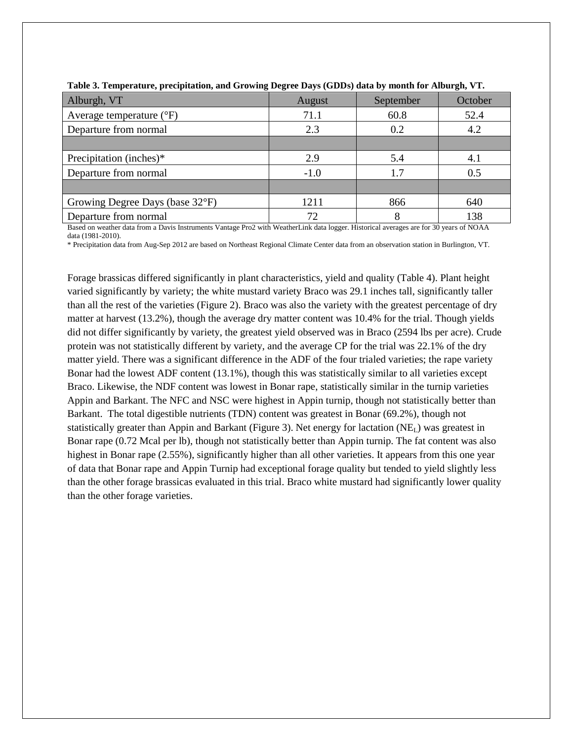| Alburgh, VT                       | August | September | October |
|-----------------------------------|--------|-----------|---------|
| Average temperature $(^{\circ}F)$ | 71.1   | 60.8      | 52.4    |
| Departure from normal             | 2.3    | 0.2       | 4.2     |
|                                   |        |           |         |
| Precipitation (inches)*           | 2.9    | 5.4       | 4.1     |
| Departure from normal             | $-1.0$ | 1.7       | 0.5     |
|                                   |        |           |         |
| Growing Degree Days (base 32°F)   | 1211   | 866       | 640     |
| Departure from normal             | 72     |           | 138     |

|  |  | Table 3. Temperature, precipitation, and Growing Degree Days (GDDs) data by month for Alburgh, VT. |
|--|--|----------------------------------------------------------------------------------------------------|
|  |  |                                                                                                    |

Based on weather data from a Davis Instruments Vantage Pro2 with WeatherLink data logger. Historical averages are for 30 years of NOAA data (1981-2010).

\* Precipitation data from Aug-Sep 2012 are based on Northeast Regional Climate Center data from an observation station in Burlington, VT.

Forage brassicas differed significantly in plant characteristics, yield and quality (Table 4). Plant height varied significantly by variety; the white mustard variety Braco was 29.1 inches tall, significantly taller than all the rest of the varieties (Figure 2). Braco was also the variety with the greatest percentage of dry matter at harvest (13.2%), though the average dry matter content was 10.4% for the trial. Though yields did not differ significantly by variety, the greatest yield observed was in Braco (2594 lbs per acre). Crude protein was not statistically different by variety, and the average CP for the trial was 22.1% of the dry matter yield. There was a significant difference in the ADF of the four trialed varieties; the rape variety Bonar had the lowest ADF content (13.1%), though this was statistically similar to all varieties except Braco. Likewise, the NDF content was lowest in Bonar rape, statistically similar in the turnip varieties Appin and Barkant. The NFC and NSC were highest in Appin turnip, though not statistically better than Barkant. The total digestible nutrients (TDN) content was greatest in Bonar (69.2%), though not statistically greater than Appin and Barkant (Figure 3). Net energy for lactation  $(NE_L)$  was greatest in Bonar rape (0.72 Mcal per lb), though not statistically better than Appin turnip. The fat content was also highest in Bonar rape (2.55%), significantly higher than all other varieties. It appears from this one year of data that Bonar rape and Appin Turnip had exceptional forage quality but tended to yield slightly less than the other forage brassicas evaluated in this trial. Braco white mustard had significantly lower quality than the other forage varieties.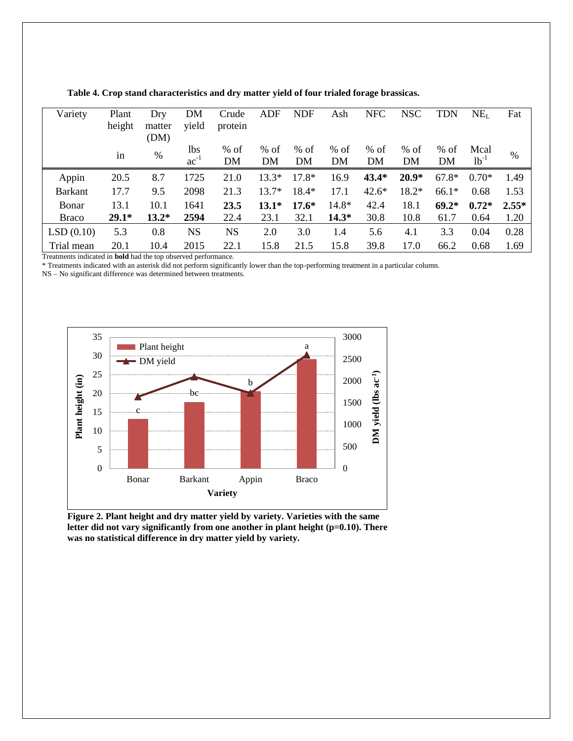| Variety        | Plant   | Dry            | DM<br>yield      | Crude        | ADF          | <b>NDF</b>   | Ash          | <b>NFC</b>   | <b>NSC</b> | <b>TDN</b>   | NE <sub>L</sub>   | Fat     |
|----------------|---------|----------------|------------------|--------------|--------------|--------------|--------------|--------------|------------|--------------|-------------------|---------|
|                | height  | matter<br>(DM) |                  | protein      |              |              |              |              |            |              |                   |         |
|                | 1n      | %              | lbs<br>$ac^{-1}$ | $%$ of<br>DM | $%$ of<br>DM | $%$ of<br>DM | $%$ of<br>DM | $%$ of<br>DM | % of<br>DM | $%$ of<br>DM | Mcal<br>$lb^{-1}$ | $\%$    |
| Appin          | 20.5    | 8.7            | 1725             | 21.0         | $13.3*$      | $17.8*$      | 16.9         | $43.4*$      | $20.9*$    | $67.8*$      | $0.70*$           | 1.49    |
| <b>Barkant</b> | 17.7    | 9.5            | 2098             | 21.3         | $13.7*$      | $18.4*$      | 17.1         | $42.6*$      | $18.2*$    | $66.1*$      | 0.68              | 1.53    |
| Bonar          | 13.1    | 10.1           | 1641             | 23.5         | $13.1*$      | $17.6*$      | $14.8*$      | 42.4         | 18.1       | $69.2*$      | $0.72*$           | $2.55*$ |
| <b>Braco</b>   | $29.1*$ | $13.2*$        | 2594             | 22.4         | 23.1         | 32.1         | $14.3*$      | 30.8         | 10.8       | 61.7         | 0.64              | 1.20    |
| LSD(0.10)      | 5.3     | 0.8            | <b>NS</b>        | <b>NS</b>    | 2.0          | 3.0          | 1.4          | 5.6          | 4.1        | 3.3          | 0.04              | 0.28    |
| Trial mean     | 20.1    | 10.4           | 2015             | 22.1         | 15.8         | 21.5         | 15.8         | 39.8         | 17.0       | 66.2         | 0.68              | 1.69    |

**Table 4. Crop stand characteristics and dry matter yield of four trialed forage brassicas.**

Treatments indicated in **bold** had the top observed performance.

\* Treatments indicated with an asterisk did not perform significantly lower than the top-performing treatment in a particular column.

NS – No significant difference was determined between treatments.



**Figure 2. Plant height and dry matter yield by variety. Varieties with the same letter did not vary significantly from one another in plant height (p=0.10). There was no statistical difference in dry matter yield by variety.**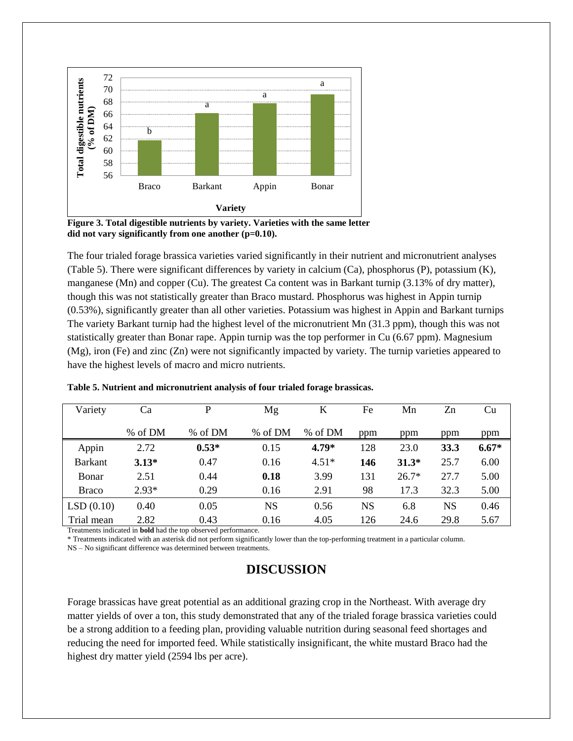

**Figure 3. Total digestible nutrients by variety. Varieties with the same letter did not vary significantly from one another (p=0.10).**

The four trialed forage brassica varieties varied significantly in their nutrient and micronutrient analyses (Table 5). There were significant differences by variety in calcium (Ca), phosphorus (P), potassium (K), manganese (Mn) and copper (Cu). The greatest Ca content was in Barkant turnip (3.13% of dry matter), though this was not statistically greater than Braco mustard. Phosphorus was highest in Appin turnip (0.53%), significantly greater than all other varieties. Potassium was highest in Appin and Barkant turnips The variety Barkant turnip had the highest level of the micronutrient Mn (31.3 ppm), though this was not statistically greater than Bonar rape. Appin turnip was the top performer in Cu (6.67 ppm). Magnesium (Mg), iron (Fe) and zinc (Zn) were not significantly impacted by variety. The turnip varieties appeared to have the highest levels of macro and micro nutrients.

| Variety        | Ca      | P       | Mg      | K       | Fe  | Mn      | Zn   | Cu      |
|----------------|---------|---------|---------|---------|-----|---------|------|---------|
|                | % of DM | % of DM | % of DM | % of DM | ppm | ppm     | ppm  | ppm     |
| Appin          | 2.72    | $0.53*$ | 0.15    | $4.79*$ | 128 | 23.0    | 33.3 | $6.67*$ |
| <b>Barkant</b> | $3.13*$ | 0.47    | 0.16    | $4.51*$ | 146 | $31.3*$ | 25.7 | 6.00    |
| Bonar          | 2.51    | 0.44    | 0.18    | 3.99    | 131 | $26.7*$ | 27.7 | 5.00    |
| <b>Braco</b>   | $2.93*$ | 0.29    | 0.16    | 2.91    | 98  | 17.3    | 32.3 | 5.00    |
| LSD(0.10)      | 0.40    | 0.05    | NS      | 0.56    | NS  | 6.8     | NS   | 0.46    |
| Trial mean     | 2.82    | 0.43    | 0.16    | 4.05    | 126 | 24.6    | 29.8 | 5.67    |

**Table 5. Nutrient and micronutrient analysis of four trialed forage brassicas.**

Treatments indicated in **bold** had the top observed performance.

\* Treatments indicated with an asterisk did not perform significantly lower than the top-performing treatment in a particular column.

#### NS – No significant difference was determined between treatments.

### **DISCUSSION**

Forage brassicas have great potential as an additional grazing crop in the Northeast. With average dry matter yields of over a ton, this study demonstrated that any of the trialed forage brassica varieties could be a strong addition to a feeding plan, providing valuable nutrition during seasonal feed shortages and reducing the need for imported feed. While statistically insignificant, the white mustard Braco had the highest dry matter yield (2594 lbs per acre).